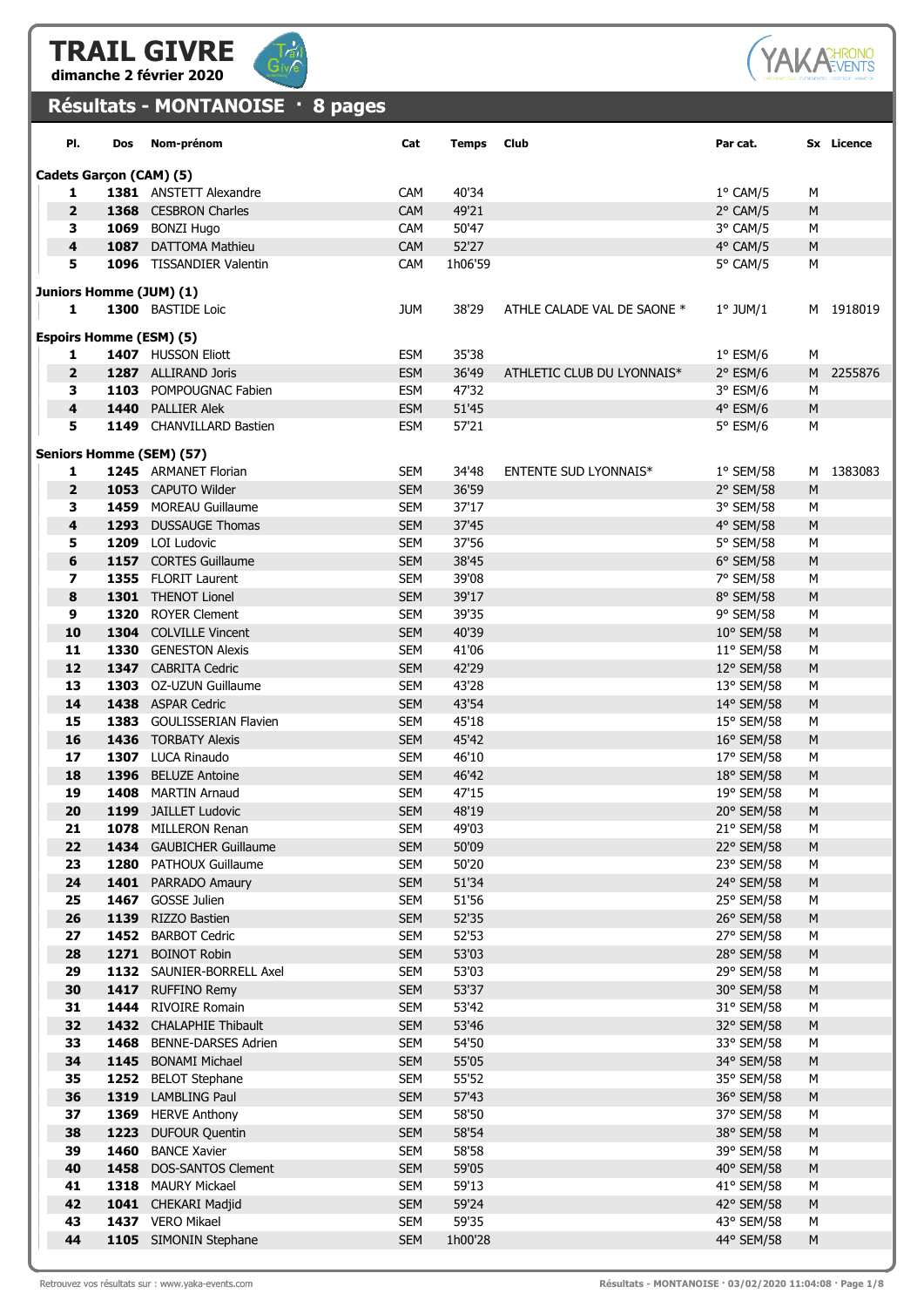



## Résultats - MONTANOISE · 8 pages



| PI.                            | Dos                     | Nom-prénom                                     | Cat                      | <b>Temps</b>   | Club                         | Par cat.                 |                | Sx Licence |  |  |
|--------------------------------|-------------------------|------------------------------------------------|--------------------------|----------------|------------------------------|--------------------------|----------------|------------|--|--|
|                                | Cadets Garçon (CAM) (5) |                                                |                          |                |                              |                          |                |            |  |  |
| 1                              |                         | 1381 ANSTETT Alexandre                         | CAM                      | 40'34          |                              | $1^{\circ}$ CAM/5        | М              |            |  |  |
| $\overline{2}$                 |                         | 1368 CESBRON Charles                           | <b>CAM</b>               | 49'21          |                              | $2°$ CAM/5               | M              |            |  |  |
| 3                              |                         | 1069 BONZI Hugo                                | CAM                      | 50'47          |                              | 3° CAM/5                 | М              |            |  |  |
| $\overline{\mathbf{4}}$        |                         | 1087 DATTOMA Mathieu                           | CAM                      | 52'27          |                              | 4° CAM/5                 | M              |            |  |  |
| 5                              |                         | 1096 TISSANDIER Valentin                       | CAM                      | 1h06'59        |                              | 5° CAM/5                 | M              |            |  |  |
|                                |                         |                                                |                          |                |                              |                          |                |            |  |  |
| Juniors Homme (JUM) (1)<br>1   |                         | 1300 BASTIDE Loic                              |                          |                |                              |                          |                |            |  |  |
|                                |                         |                                                | <b>JUM</b>               | 38'29          | ATHLE CALADE VAL DE SAONE *  | $1^\circ$ JUM/1          |                | M 1918019  |  |  |
| <b>Espoirs Homme (ESM) (5)</b> |                         |                                                |                          |                |                              |                          |                |            |  |  |
| 1                              |                         | 1407 HUSSON Eliott                             | <b>ESM</b>               | 35'38          |                              | $1^{\circ}$ ESM/6        | М              |            |  |  |
| $\overline{\mathbf{2}}$        |                         | 1287 ALLIRAND Joris                            | <b>ESM</b>               | 36'49          | ATHLETIC CLUB DU LYONNAIS*   | $2°$ ESM/6               |                | M 2255876  |  |  |
| 3                              |                         | 1103 POMPOUGNAC Fabien                         | <b>ESM</b>               | 47'32          |                              | $3°$ ESM/6               | М              |            |  |  |
| 4                              |                         | 1440 PALLIER Alek                              | <b>ESM</b>               | 51'45          |                              | $4°$ ESM/6               | M              |            |  |  |
| 5                              |                         | 1149 CHANVILLARD Bastien                       | <b>ESM</b>               | 57'21          |                              | 5° ESM/6                 | М              |            |  |  |
|                                |                         | <b>Seniors Homme (SEM) (57)</b>                |                          |                |                              |                          |                |            |  |  |
| 1                              |                         | 1245 ARMANET Florian                           | <b>SEM</b>               | 34'48          | <b>ENTENTE SUD LYONNAIS*</b> | $1°$ SEM/58              |                | M 1383083  |  |  |
| $\overline{2}$                 |                         | 1053 CAPUTO Wilder                             | <b>SEM</b>               | 36'59          |                              | 2° SEM/58                | M              |            |  |  |
| 3                              |                         | 1459 MOREAU Guillaume                          | <b>SEM</b>               | 37'17          |                              | 3° SEM/58                | М              |            |  |  |
| 4                              |                         | 1293 DUSSAUGE Thomas                           | <b>SEM</b>               | 37'45          |                              | 4° SEM/58                | M              |            |  |  |
| 5                              |                         | 1209 LOI Ludovic                               | <b>SEM</b>               | 37'56          |                              | 5° SEM/58                | М              |            |  |  |
| 6                              |                         | 1157 CORTES Guillaume                          | <b>SEM</b>               | 38'45          |                              | 6° SEM/58                | ${\sf M}$      |            |  |  |
| 7                              |                         | 1355 FLORIT Laurent                            | <b>SEM</b>               | 39'08          |                              | 7° SEM/58                | М              |            |  |  |
| 8                              |                         | 1301 THENOT Lionel                             | <b>SEM</b>               | 39'17          |                              | 8° SEM/58                | M              |            |  |  |
| 9                              |                         | 1320 ROYER Clement                             | <b>SEM</b>               | 39'35          |                              | 9° SEM/58                | M              |            |  |  |
| 10                             |                         | 1304 COLVILLE Vincent                          | <b>SEM</b>               | 40'39          |                              | 10° SEM/58               | M              |            |  |  |
| 11                             |                         | 1330 GENESTON Alexis                           | <b>SEM</b>               | 41'06          |                              | 11° SEM/58               | М              |            |  |  |
| 12<br>13                       |                         | 1347 CABRITA Cedric<br>1303 OZ-UZUN Guillaume  | <b>SEM</b><br><b>SEM</b> | 42'29<br>43'28 |                              | 12° SEM/58<br>13° SEM/58 | ${\sf M}$<br>М |            |  |  |
| 14                             |                         | 1438 ASPAR Cedric                              | <b>SEM</b>               | 43'54          |                              | 14° SEM/58               | M              |            |  |  |
| 15                             |                         | 1383 GOULISSERIAN Flavien                      | <b>SEM</b>               | 45'18          |                              | 15° SEM/58               | М              |            |  |  |
| 16                             |                         | 1436 TORBATY Alexis                            | <b>SEM</b>               | 45'42          |                              | 16° SEM/58               | M              |            |  |  |
| 17                             |                         | 1307 LUCA Rinaudo                              | <b>SEM</b>               | 46'10          |                              | 17° SEM/58               | М              |            |  |  |
| 18                             |                         | 1396 BELUZE Antoine                            | <b>SEM</b>               | 46'42          |                              | 18° SEM/58               | ${\sf M}$      |            |  |  |
| 19                             |                         | 1408 MARTIN Arnaud                             | <b>SEM</b>               | 47'15          |                              | 19° SEM/58               | М              |            |  |  |
| 20                             |                         | 1199 JAILLET Ludovic                           | <b>SEM</b>               | 48'19          |                              | 20° SEM/58               | M              |            |  |  |
| 21                             |                         | 1078 MILLERON Renan                            | <b>SEM</b>               | 49'03          |                              | 21° SEM/58               | М              |            |  |  |
| 22                             |                         | 1434 GAUBICHER Guillaume                       | <b>SEM</b>               | 50'09          |                              | 22° SEM/58               | M              |            |  |  |
| 23                             |                         | 1280 PATHOUX Guillaume                         | <b>SEM</b>               | 50'20          |                              | 23° SEM/58               | М              |            |  |  |
| 24                             |                         | 1401 PARRADO Amaury                            | <b>SEM</b>               | 51'34          |                              | 24° SEM/58               | ${\sf M}$      |            |  |  |
| 25                             |                         | 1467 GOSSE Julien                              | <b>SEM</b>               | 51'56          |                              | 25° SEM/58               | М              |            |  |  |
| 26                             |                         | 1139 RIZZO Bastien                             | <b>SEM</b>               | 52'35          |                              | 26° SEM/58               | M              |            |  |  |
| 27                             |                         | 1452 BARBOT Cedric                             | <b>SEM</b>               | 52'53          |                              | 27° SEM/58               | M              |            |  |  |
| 28<br>29                       |                         | 1271 BOINOT Robin<br>1132 SAUNIER-BORRELL Axel | <b>SEM</b><br><b>SEM</b> | 53'03<br>53'03 |                              | 28° SEM/58<br>29° SEM/58 | ${\sf M}$      |            |  |  |
| 30                             |                         | 1417 RUFFINO Remy                              | <b>SEM</b>               | 53'37          |                              | 30° SEM/58               | М<br>${\sf M}$ |            |  |  |
| 31                             |                         | 1444 RIVOIRE Romain                            | <b>SEM</b>               | 53'42          |                              | 31° SEM/58               | М              |            |  |  |
| 32                             |                         | 1432 CHALAPHIE Thibault                        | <b>SEM</b>               | 53'46          |                              | 32° SEM/58               | M              |            |  |  |
| 33                             |                         | 1468 BENNE-DARSES Adrien                       | <b>SEM</b>               | 54'50          |                              | 33° SEM/58               | М              |            |  |  |
| 34                             |                         | 1145 BONAMI Michael                            | <b>SEM</b>               | 55'05          |                              | 34° SEM/58               | ${\sf M}$      |            |  |  |
| 35                             |                         | 1252 BELOT Stephane                            | <b>SEM</b>               | 55'52          |                              | 35° SEM/58               | М              |            |  |  |
| 36                             |                         | 1319 LAMBLING Paul                             | <b>SEM</b>               | 57'43          |                              | 36° SEM/58               | ${\sf M}$      |            |  |  |
| 37                             |                         | 1369 HERVE Anthony                             | <b>SEM</b>               | 58'50          |                              | 37° SEM/58               | М              |            |  |  |
| 38                             |                         | 1223 DUFOUR Quentin                            | <b>SEM</b>               | 58'54          |                              | 38° SEM/58               | ${\sf M}$      |            |  |  |
| 39                             |                         | 1460 BANCE Xavier                              | <b>SEM</b>               | 58'58          |                              | 39° SEM/58               | M              |            |  |  |
| 40                             |                         | 1458 DOS-SANTOS Clement                        | <b>SEM</b>               | 59'05          |                              | 40° SEM/58               | ${\sf M}$      |            |  |  |
| 41                             |                         | 1318 MAURY Mickael                             | <b>SEM</b>               | 59'13          |                              | 41° SEM/58               | М              |            |  |  |
| 42                             |                         | 1041 CHEKARI Madjid                            | <b>SEM</b>               | 59'24          |                              | 42° SEM/58               | ${\sf M}$      |            |  |  |
| 43                             |                         | 1437 VERO Mikael                               | <b>SEM</b>               | 59'35          |                              | 43° SEM/58               | М              |            |  |  |
| 44                             |                         | 1105 SIMONIN Stephane                          | <b>SEM</b>               | 1h00'28        |                              | 44° SEM/58               | M              |            |  |  |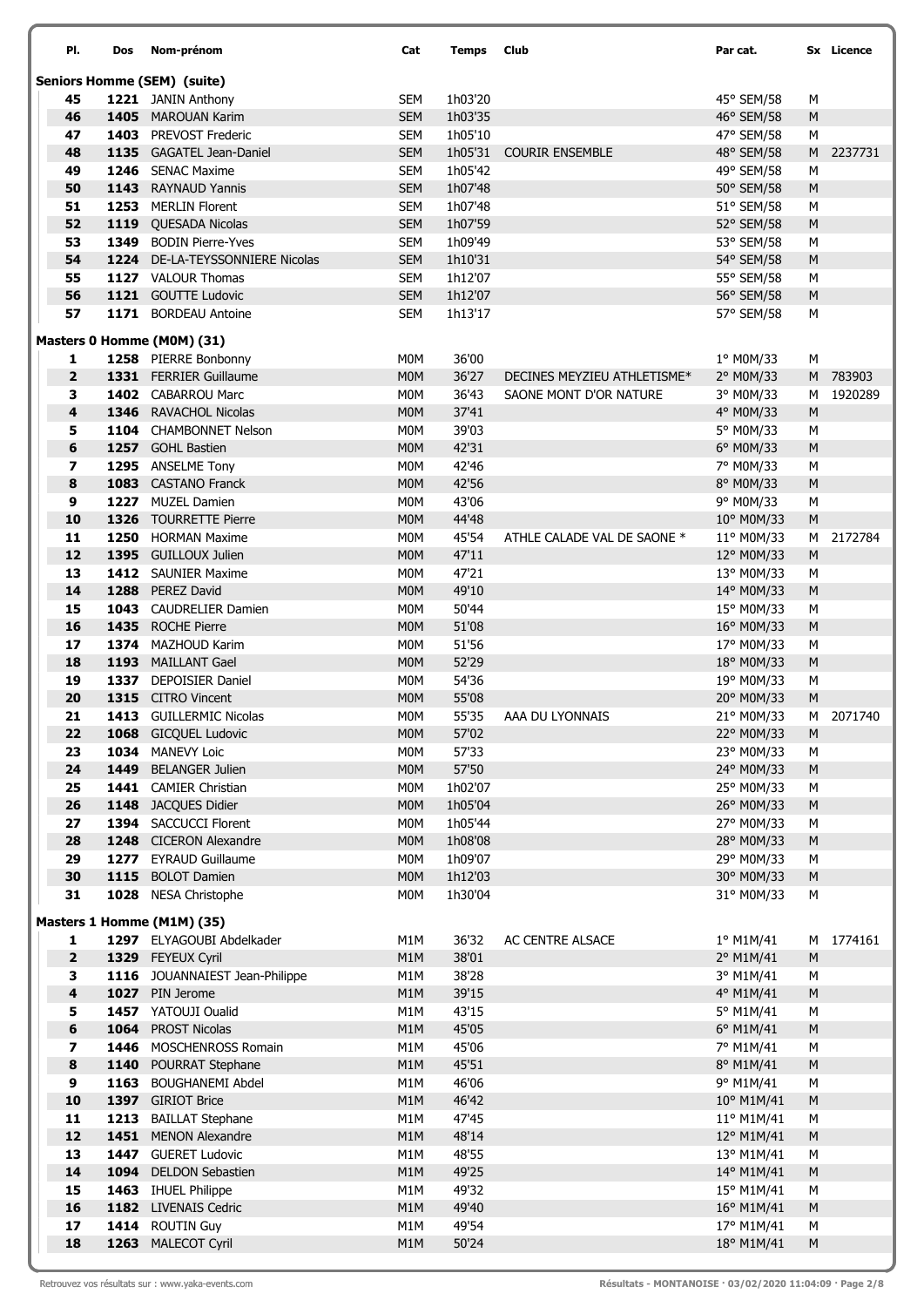| PI.                 | Dos  | Nom-prénom                                          | Cat                      | <b>Temps</b>       | <b>Club</b>                 | Par cat.                 |                | Sx Licence |
|---------------------|------|-----------------------------------------------------|--------------------------|--------------------|-----------------------------|--------------------------|----------------|------------|
|                     |      | <b>Seniors Homme (SEM) (suite)</b>                  |                          |                    |                             |                          |                |            |
| 45                  |      | 1221 JANIN Anthony                                  | SEM                      | 1h03'20            |                             | 45° SEM/58               | М              |            |
| 46                  |      | 1405 MAROUAN Karim                                  | <b>SEM</b>               | 1h03'35            |                             | 46° SEM/58               | M              |            |
| 47                  |      | <b>1403</b> PREVOST Frederic                        | SEM                      | 1h05'10            |                             | 47° SEM/58               | М              |            |
| 48                  |      | 1135 GAGATEL Jean-Daniel                            | <b>SEM</b>               | 1h05'31            | <b>COURIR ENSEMBLE</b>      | 48° SEM/58               | M              | 2237731    |
| 49                  |      | 1246 SENAC Maxime                                   | <b>SEM</b>               | 1h05'42            |                             | 49° SEM/58               | М              |            |
| 50                  |      | 1143 RAYNAUD Yannis                                 | <b>SEM</b>               | 1h07'48            |                             | 50° SEM/58               | M              |            |
| 51<br>52            |      | 1253 MERLIN Florent<br>1119 QUESADA Nicolas         | <b>SEM</b><br><b>SEM</b> | 1h07'48<br>1h07'59 |                             | 51° SEM/58<br>52° SEM/58 | М<br>M         |            |
| 53                  |      | 1349 BODIN Pierre-Yves                              | <b>SEM</b>               | 1h09'49            |                             | 53° SEM/58               | М              |            |
| 54                  |      | 1224 DE-LA-TEYSSONNIERE Nicolas                     | <b>SEM</b>               | 1h10'31            |                             | 54° SEM/58               | M              |            |
| 55                  |      | 1127 VALOUR Thomas                                  | <b>SEM</b>               | 1h12'07            |                             | 55° SEM/58               | М              |            |
| 56                  |      | 1121 GOUTTE Ludovic                                 | <b>SEM</b>               | 1h12'07            |                             | 56° SEM/58               | ${\sf M}$      |            |
| 57                  |      | 1171 BORDEAU Antoine                                | <b>SEM</b>               | 1h13'17            |                             | 57° SEM/58               | М              |            |
|                     |      | Masters 0 Homme (M0M) (31)                          |                          |                    |                             |                          |                |            |
| 1                   |      | 1258 PIERRE Bonbonny                                | M0M                      | 36'00              |                             | 1° M0M/33                | М              |            |
| $\mathbf{2}$        |      | 1331 FERRIER Guillaume                              | M <sub>0</sub> M         | 36'27              | DECINES MEYZIEU ATHLETISME* | 2° M0M/33                |                | M 783903   |
| 3                   |      | 1402 CABARROU Marc                                  | M0M                      | 36'43              | SAONE MONT D'OR NATURE      | 3° M0M/33                | М              | 1920289    |
| 4                   |      | 1346 RAVACHOL Nicolas                               | M <sub>0</sub> M         | 37'41              |                             | 4° M0M/33                | M              |            |
| 5                   |      | 1104 CHAMBONNET Nelson                              | M <sub>0</sub> M         | 39'03              |                             | 5° M0M/33                | М              |            |
| 6                   |      | 1257 GOHL Bastien                                   | M <sub>0</sub> M         | 42'31              |                             | 6° M0M/33                | M              |            |
| 7                   |      | 1295 ANSELME Tony                                   | M0M                      | 42'46              |                             | 7° M0M/33                | М              |            |
| 8                   |      | 1083 CASTANO Franck                                 | M <sub>0</sub> M         | 42'56              |                             | 8° M0M/33                | M              |            |
| 9<br>10             |      | 1227 MUZEL Damien<br>1326 TOURRETTE Pierre          | M0M<br>M <sub>0</sub> M  | 43'06<br>44'48     |                             | 9° M0M/33<br>10° M0M/33  | М<br>${\sf M}$ |            |
| 11                  |      | 1250 HORMAN Maxime                                  | M0M                      | 45'54              | ATHLE CALADE VAL DE SAONE * | 11° M0M/33               |                | M 2172784  |
| 12                  |      | 1395 GUILLOUX Julien                                | M <sub>0</sub> M         | 47'11              |                             | 12° M0M/33               | M              |            |
| 13                  |      | 1412 SAUNIER Maxime                                 | M0M                      | 47'21              |                             | 13° M0M/33               | М              |            |
| 14                  |      | 1288 PEREZ David                                    | M <sub>0</sub> M         | 49'10              |                             | 14° M0M/33               | M              |            |
| 15                  |      | 1043 CAUDRELIER Damien                              | M0M                      | 50'44              |                             | 15° M0M/33               | М              |            |
| 16                  |      | 1435 ROCHE Pierre                                   | M <sub>0</sub> M         | 51'08              |                             | 16° M0M/33               | M              |            |
| 17                  |      | 1374 MAZHOUD Karim                                  | M0M                      | 51'56              |                             | 17° M0M/33               | М              |            |
| 18                  |      | 1193 MAILLANT Gael                                  | M <sub>0</sub> M         | 52'29              |                             | 18° M0M/33               | ${\sf M}$      |            |
| 19                  |      | 1337 DEPOISIER Daniel                               | M0M                      | 54'36              |                             | 19° M0M/33               | М              |            |
| 20                  |      | 1315 CITRO Vincent                                  | M <sub>0</sub> M         | 55'08              |                             | 20° M0M/33               | M              |            |
| 21<br>22            |      | 1413 GUILLERMIC Nicolas<br>1068 GICQUEL Ludovic     | M <sub>0</sub> M<br>M0M  | 55'35<br>57'02     | AAA DU LYONNAIS             | 21° M0M/33<br>22° M0M/33 |                | M 2071740  |
| 23                  |      | 1034 MANEVY Loic                                    | M <sub>0</sub> M         | 57'33              |                             | 23° M0M/33               | M<br>М         |            |
| 24                  |      | 1449 BELANGER Julien                                | <b>MOM</b>               | 57'50              |                             | 24° M0M/33               | ${\sf M}$      |            |
| 25                  |      | 1441 CAMIER Christian                               | M0M                      | 1h02'07            |                             | 25° M0M/33               | М              |            |
| 26                  |      | 1148 JACQUES Didier                                 | <b>MOM</b>               | 1h05'04            |                             | 26° M0M/33               | ${\sf M}$      |            |
| 27                  |      | 1394 SACCUCCI Florent                               | M0M                      | 1h05'44            |                             | 27° M0M/33               | М              |            |
| 28                  |      | 1248 CICERON Alexandre                              | <b>MOM</b>               | 1h08'08            |                             | 28° M0M/33               | ${\sf M}$      |            |
| 29                  |      | 1277 EYRAUD Guillaume                               | M0M                      | 1h09'07            |                             | 29° M0M/33               | М              |            |
| 30                  | 1115 | <b>BOLOT Damien</b>                                 | M <sub>0</sub> M         | 1h12'03            |                             | 30° M0M/33               | ${\sf M}$      |            |
| 31                  |      | 1028 NESA Christophe                                | M0M                      | 1h30'04            |                             | 31° M0M/33               | М              |            |
|                     |      | Masters 1 Homme (M1M) (35)                          |                          |                    |                             |                          |                |            |
| 1<br>$\overline{2}$ |      | 1297 ELYAGOUBI Abdelkader                           | M1M                      | 36'32              | AC CENTRE ALSACE            | 1º M1M/41                |                | M 1774161  |
| 3                   |      | 1329 FEYEUX Cyril<br>1116 JOUANNAIEST Jean-Philippe | M1M<br>M1M               | 38'01<br>38'28     |                             | 2° M1M/41<br>3° M1M/41   | M<br>М         |            |
| 4                   |      | 1027 PIN Jerome                                     | M1M                      | 39'15              |                             | 4° M1M/41                | ${\sf M}$      |            |
| 5                   |      | 1457 YATOUJI Oualid                                 | M1M                      | 43'15              |                             | 5° M1M/41                | М              |            |
| 6                   |      | 1064 PROST Nicolas                                  | M1M                      | 45'05              |                             | 6° M1M/41                | M              |            |
| 7                   |      | 1446 MOSCHENROSS Romain                             | M1M                      | 45'06              |                             | 7° M1M/41                | М              |            |
| 8                   | 1140 | POURRAT Stephane                                    | M1M                      | 45'51              |                             | 8° M1M/41                | M              |            |
| 9                   | 1163 | <b>BOUGHANEMI Abdel</b>                             | M1M                      | 46'06              |                             | 9° M1M/41                | М              |            |
| 10                  |      | 1397 GIRIOT Brice                                   | M1M                      | 46'42              |                             | 10° M1M/41               | ${\sf M}$      |            |
| 11                  | 1213 | <b>BAILLAT Stephane</b>                             | M1M                      | 47'45              |                             | 11° M1M/41               | М              |            |
| 12<br>13            |      | 1451 MENON Alexandre<br>1447 GUERET Ludovic         | M1M<br>M1M               | 48'14              |                             | 12° M1M/41               | M              |            |
| 14                  | 1094 | <b>DELDON Sebastien</b>                             | M1M                      | 48'55<br>49'25     |                             | 13° M1M/41<br>14° M1M/41 | М<br>${\sf M}$ |            |
| 15                  |      | 1463 IHUEL Philippe                                 | M1M                      | 49'32              |                             | 15° M1M/41               | М              |            |
| 16                  |      | 1182 LIVENAIS Cedric                                | M1M                      | 49'40              |                             | 16° M1M/41               | M              |            |
| 17                  |      | 1414 ROUTIN Guy                                     | M1M                      | 49'54              |                             | 17° M1M/41               | М              |            |
| 18                  |      | 1263 MALECOT Cyril                                  | M1M                      | 50'24              |                             | 18° M1M/41               | ${\sf M}$      |            |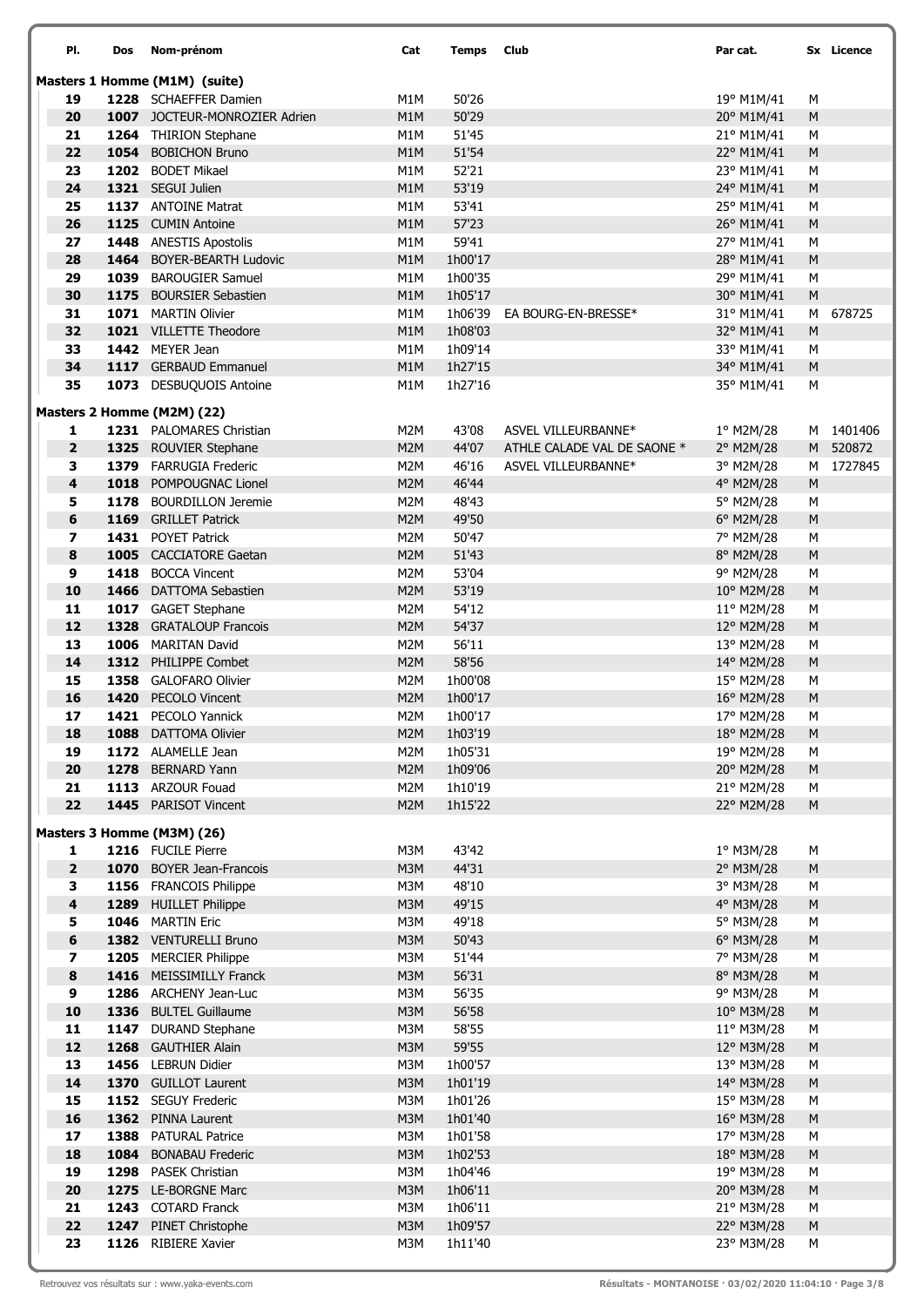| PI.                          | Dos  | Nom-prénom                                            | Cat                                  | <b>Temps</b>       | Club                        | Par cat.                 |                | Sx Licence |
|------------------------------|------|-------------------------------------------------------|--------------------------------------|--------------------|-----------------------------|--------------------------|----------------|------------|
|                              |      | Masters 1 Homme (M1M) (suite)                         |                                      |                    |                             |                          |                |            |
| 19                           |      | 1228 SCHAEFFER Damien                                 | M1M                                  | 50'26              |                             | 19° M1M/41               | M              |            |
| 20                           |      | <b>1007</b> JOCTEUR-MONROZIER Adrien                  | M1M                                  | 50'29              |                             | 20° M1M/41               | ${\sf M}$      |            |
| 21                           |      | 1264 THIRION Stephane                                 | M1M                                  | 51'45              |                             | 21° M1M/41               | M              |            |
| 22                           | 1054 | <b>BOBICHON Bruno</b>                                 | M1M                                  | 51'54              |                             | 22° M1M/41               | M              |            |
| 23                           |      | 1202 BODET Mikael                                     | M1M                                  | 52'21              |                             | 23° M1M/41               | М              |            |
| 24                           |      | 1321 SEGUI Julien                                     | M1M                                  | 53'19              |                             | 24° M1M/41               | ${\sf M}$      |            |
| 25                           |      | 1137 ANTOINE Matrat                                   | M1M                                  | 53'41              |                             | 25° M1M/41               | M              |            |
| 26                           |      | 1125 CUMIN Antoine                                    | M1M                                  | 57'23              |                             | 26° M1M/41               | M              |            |
| 27<br>28                     | 1464 | 1448 ANESTIS Apostolis<br><b>BOYER-BEARTH Ludovic</b> | M1M<br>M1M                           | 59'41<br>1h00'17   |                             | 27° M1M/41<br>28° M1M/41 | M<br>${\sf M}$ |            |
| 29                           |      | 1039 BAROUGIER Samuel                                 | M1M                                  | 1h00'35            |                             | 29° M1M/41               | М              |            |
| 30                           |      | 1175 BOURSIER Sebastien                               | M1M                                  | 1h05'17            |                             | 30° M1M/41               | ${\sf M}$      |            |
| 31                           |      | 1071 MARTIN Olivier                                   | M1M                                  | 1h06'39            | EA BOURG-EN-BRESSE*         | 31° M1M/41               | М              | 678725     |
| 32                           |      | 1021 VILLETTE Theodore                                | M1M                                  | 1h08'03            |                             | 32° M1M/41               | ${\sf M}$      |            |
| 33                           |      | 1442 MEYER Jean                                       | M1M                                  | 1h09'14            |                             | 33° M1M/41               | M              |            |
| 34                           |      | 1117 GERBAUD Emmanuel                                 | M1M                                  | 1h27'15            |                             | 34° M1M/41               | M              |            |
| 35                           |      | 1073 DESBUQUOIS Antoine                               | M1M                                  | 1h27'16            |                             | 35° M1M/41               | М              |            |
|                              |      | Masters 2 Homme (M2M) (22)                            |                                      |                    |                             |                          |                |            |
| 1                            |      | 1231 PALOMARES Christian                              | M2M                                  | 43'08              | ASVEL VILLEURBANNE*         | 1° M2M/28                | М              | 1401406    |
| $\mathbf{2}$                 |      | 1325 ROUVIER Stephane                                 | M <sub>2</sub> M                     | 44'07              | ATHLE CALADE VAL DE SAONE * | 2° M2M/28                |                | M 520872   |
| 3                            |      | 1379 FARRUGIA Frederic                                | M <sub>2</sub> M                     | 46'16              | ASVEL VILLEURBANNE*         | 3° M2M/28                | М              | 1727845    |
| 4                            |      | 1018 POMPOUGNAC Lionel                                | M <sub>2</sub> M                     | 46'44              |                             | 4° M2M/28                | ${\sf M}$      |            |
| 5                            |      | 1178 BOURDILLON Jeremie                               | M2M                                  | 48'43              |                             | 5° M2M/28                | М              |            |
| 6                            |      | 1169 GRILLET Patrick                                  | M <sub>2</sub> M                     | 49'50              |                             | 6° M2M/28                | M              |            |
| 7                            |      | 1431 POYET Patrick                                    | M2M                                  | 50'47              |                             | 7° M2M/28                | M              |            |
| 8                            |      | 1005 CACCIATORE Gaetan                                | M <sub>2</sub> M                     | 51'43              |                             | 8° M2M/28                | ${\sf M}$      |            |
| 9                            |      | 1418 BOCCA Vincent                                    | M2M                                  | 53'04              |                             | 9° M2M/28                | М              |            |
| 10                           |      | 1466 DATTOMA Sebastien                                | M <sub>2</sub> M                     | 53'19              |                             | 10° M2M/28               | ${\sf M}$      |            |
| 11<br>12                     |      | 1017 GAGET Stephane<br>1328 GRATALOUP Francois        | M <sub>2</sub> M                     | 54'12<br>54'37     |                             | 11° M2M/28               | М              |            |
| 13                           |      | 1006 MARITAN David                                    | M <sub>2</sub> M<br>M <sub>2</sub> M | 56'11              |                             | 12° M2M/28<br>13° M2M/28 | M<br>М         |            |
| 14                           | 1312 | PHILIPPE Combet                                       | M <sub>2</sub> M                     | 58'56              |                             | 14° M2M/28               | M              |            |
| 15                           |      | 1358 GALOFARO Olivier                                 | M2M                                  | 1h00'08            |                             | 15° M2M/28               | М              |            |
| 16                           |      | 1420 PECOLO Vincent                                   | M <sub>2</sub> M                     | 1h00'17            |                             | 16° M2M/28               | ${\sf M}$      |            |
| 17                           |      | 1421 PECOLO Yannick                                   | M <sub>2</sub> M                     | 1h00'17            |                             | 17° M2M/28               | М              |            |
| 18                           |      | 1088 DATTOMA Olivier                                  | M2M                                  | 1h03'19            |                             | 18° M2M/28               | ${\sf M}$      |            |
| 19                           |      | 1172 ALAMELLE Jean                                    | M2M                                  | 1h05'31            |                             | 19° M2M/28               | М              |            |
| 20                           |      | 1278 BERNARD Yann                                     | M <sub>2</sub> M                     | 1h09'06            |                             | 20° M2M/28               | ${\sf M}$      |            |
| 21                           |      | 1113 ARZOUR Fouad                                     | M2M                                  | 1h10'19            |                             | 21° M2M/28               | М              |            |
| 22                           |      | 1445 PARISOT Vincent                                  | M <sub>2</sub> M                     | 1h15'22            |                             | 22° M2M/28               | ${\sf M}$      |            |
|                              |      | Masters 3 Homme (M3M) (26)                            |                                      |                    |                             |                          |                |            |
| 1                            |      | 1216 FUCILE Pierre                                    | M3M                                  | 43'42              |                             | 1° M3M/28                | М              |            |
| $\mathbf{2}$                 |      | 1070 BOYER Jean-Francois                              | M3M                                  | 44'31              |                             | 2° M3M/28                | M              |            |
| 3                            |      | 1156 FRANCOIS Philippe                                | M3M                                  | 48'10              |                             | 3° M3M/28                | М              |            |
| $\overline{\mathbf{4}}$      |      | 1289 HUILLET Philippe                                 | M3M                                  | 49'15              |                             | 4° M3M/28                | ${\sf M}$      |            |
| 5                            |      | 1046 MARTIN Eric                                      | M3M                                  | 49'18              |                             | 5° M3M/28                | M              |            |
| 6<br>$\overline{\mathbf{z}}$ |      | 1382 VENTURELLI Bruno<br>1205 MERCIER Philippe        | M3M<br>M3M                           | 50'43<br>51'44     |                             | 6° M3M/28<br>7° M3M/28   | ${\sf M}$      |            |
| 8                            |      | 1416 MEISSIMILLY Franck                               | M3M                                  | 56'31              |                             | 8° M3M/28                | M<br>M         |            |
| 9                            |      | 1286 ARCHENY Jean-Luc                                 | M3M                                  | 56'35              |                             | 9° M3M/28                | М              |            |
| 10                           |      | 1336 BULTEL Guillaume                                 | M3M                                  | 56'58              |                             | 10° M3M/28               | ${\sf M}$      |            |
| 11                           |      | 1147 DURAND Stephane                                  | M3M                                  | 58'55              |                             | 11° M3M/28               | M              |            |
| 12                           |      | 1268 GAUTHIER Alain                                   | M3M                                  | 59'55              |                             | 12° M3M/28               | ${\sf M}$      |            |
| 13                           |      | 1456 LEBRUN Didier                                    | M3M                                  | 1h00'57            |                             | 13° M3M/28               | M              |            |
| 14                           |      | 1370 GUILLOT Laurent                                  | M3M                                  | 1h01'19            |                             | 14° M3M/28               | M              |            |
| 15                           |      | 1152 SEGUY Frederic                                   | M3M                                  | 1h01'26            |                             | 15° M3M/28               | M              |            |
| 16                           |      | 1362 PINNA Laurent                                    | M3M                                  | 1h01'40            |                             | 16° M3M/28               | ${\sf M}$      |            |
| 17                           |      | 1388 PATURAL Patrice                                  | M3M                                  | 1h01'58            |                             | 17° M3M/28               | М              |            |
| 18                           | 1084 | <b>BONABAU Frederic</b>                               | M3M                                  | 1h02'53            |                             | 18° M3M/28               | ${\sf M}$      |            |
| 19                           |      | 1298 PASEK Christian                                  | M3M                                  | 1h04'46            |                             | 19° M3M/28               | M              |            |
| 20                           |      | 1275 LE-BORGNE Marc                                   | M3M                                  | 1h06'11            |                             | 20° M3M/28               | M              |            |
| 21<br>22                     |      | 1243 COTARD Franck                                    | M3M                                  | 1h06'11            |                             | 21° M3M/28               | M              |            |
| 23                           |      | 1247 PINET Christophe<br>1126 RIBIERE Xavier          | M3M<br>M3M                           | 1h09'57<br>1h11'40 |                             | 22° M3M/28<br>23° M3M/28 | ${\sf M}$<br>M |            |
|                              |      |                                                       |                                      |                    |                             |                          |                |            |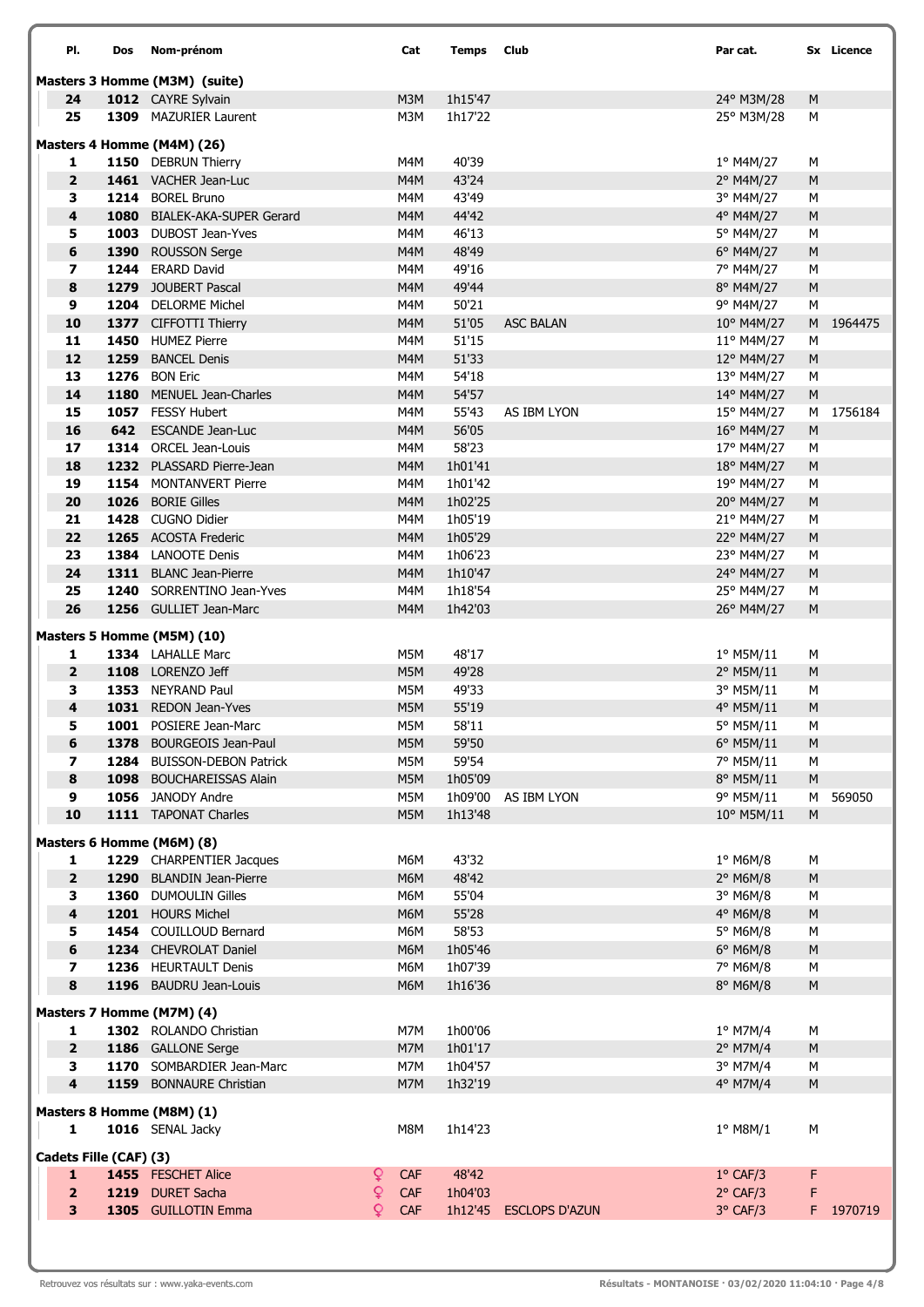| PI.                           | Dos  | Nom-prénom                                      |        | Cat        | <b>Temps</b>       | Club                   | Par cat.                 |                | Sx Licence |  |
|-------------------------------|------|-------------------------------------------------|--------|------------|--------------------|------------------------|--------------------------|----------------|------------|--|
| Masters 3 Homme (M3M) (suite) |      |                                                 |        |            |                    |                        |                          |                |            |  |
| 24                            |      | 1012 CAYRE Sylvain                              |        | M3M        | 1h15'47            |                        | 24° M3M/28               | ${\sf M}$      |            |  |
| 25                            |      | 1309 MAZURIER Laurent                           |        | M3M        | 1h17'22            |                        | 25° M3M/28               | M              |            |  |
|                               |      | Masters 4 Homme (M4M) (26)                      |        |            |                    |                        |                          |                |            |  |
| 1                             |      | 1150 DEBRUN Thierry                             |        | M4M        | 40'39              |                        | 1º M4M/27                | М              |            |  |
| $\overline{2}$                |      | 1461 VACHER Jean-Luc                            |        | M4M        | 43'24              |                        | 2° M4M/27                | M              |            |  |
| 3                             |      | 1214 BOREL Bruno                                |        | M4M        | 43'49              |                        | 3° M4M/27                | M              |            |  |
| $\overline{\mathbf{4}}$       |      | 1080 BIALEK-AKA-SUPER Gerard                    |        | M4M        | 44'42              |                        | 4° M4M/27                | ${\sf M}$      |            |  |
| 5                             |      | 1003 DUBOST Jean-Yves                           |        | M4M        | 46'13              |                        | 5° M4M/27                | M              |            |  |
| $\bf 6$                       |      | 1390 ROUSSON Serge                              |        | M4M        | 48'49              |                        | 6° M4M/27                | ${\sf M}$      |            |  |
| $\overline{\mathbf{z}}$       |      | 1244 ERARD David                                |        | M4M        | 49'16              |                        | 7° M4M/27                | M              |            |  |
| 8                             |      | 1279 JOUBERT Pascal                             |        | M4M        | 49'44              |                        | 8° M4M/27                | M              |            |  |
| 9<br>10                       |      | 1204 DELORME Michel<br>1377 CIFFOTTI Thierry    |        | M4M<br>M4M | 50'21<br>51'05     | <b>ASC BALAN</b>       | 9° M4M/27<br>10° M4M/27  | M<br>M         | 1964475    |  |
| 11                            |      | 1450 HUMEZ Pierre                               |        | M4M        | 51'15              |                        | 11° M4M/27               | М              |            |  |
| 12                            | 1259 | <b>BANCEL Denis</b>                             |        | M4M        | 51'33              |                        | 12° M4M/27               | ${\sf M}$      |            |  |
| 13                            |      | <b>1276</b> BON Eric                            |        | M4M        | 54'18              |                        | 13° M4M/27               | M              |            |  |
| 14                            | 1180 | <b>MENUEL Jean-Charles</b>                      |        | M4M        | 54'57              |                        | 14° M4M/27               | M              |            |  |
| 15                            |      | 1057 FESSY Hubert                               |        | M4M        | 55'43              | AS IBM LYON            | 15° M4M/27               | м              | 1756184    |  |
| 16                            | 642  | <b>ESCANDE Jean-Luc</b>                         |        | M4M        | 56'05              |                        | 16° M4M/27               | ${\sf M}$      |            |  |
| 17                            |      | 1314 ORCEL Jean-Louis                           |        | M4M        | 58'23              |                        | 17° M4M/27               | M              |            |  |
| 18                            |      | 1232 PLASSARD Pierre-Jean                       |        | M4M        | 1h01'41            |                        | 18° M4M/27               | ${\sf M}$      |            |  |
| 19                            |      | 1154 MONTANVERT Pierre                          |        | M4M        | 1h01'42            |                        | 19° M4M/27               | М              |            |  |
| 20                            |      | 1026 BORIE Gilles                               |        | M4M        | 1h02'25            |                        | 20° M4M/27               | ${\sf M}$      |            |  |
| 21<br>22                      |      | 1428 CUGNO Didier                               |        | M4M        | 1h05'19            |                        | 21° M4M/27               | М              |            |  |
| 23                            |      | 1265 ACOSTA Frederic<br>1384 LANOOTE Denis      |        | M4M<br>M4M | 1h05'29<br>1h06'23 |                        | 22° M4M/27<br>23° M4M/27 | ${\sf M}$<br>М |            |  |
| 24                            |      | 1311 BLANC Jean-Pierre                          |        | M4M        | 1h10'47            |                        | 24° M4M/27               | ${\sf M}$      |            |  |
| 25                            |      | 1240 SORRENTINO Jean-Yves                       |        | M4M        | 1h18'54            |                        | 25° M4M/27               | М              |            |  |
| 26                            |      | 1256 GULLIET Jean-Marc                          |        | M4M        | 1h42'03            |                        | 26° M4M/27               | M              |            |  |
|                               |      |                                                 |        |            |                    |                        |                          |                |            |  |
| 1                             |      | Masters 5 Homme (M5M) (10)<br>1334 LAHALLE Marc |        | M5M        | 48'17              |                        | $1^{\circ}$ M5M/11       | М              |            |  |
| $\overline{2}$                |      | 1108 LORENZO Jeff                               |        | M5M        | 49'28              |                        | 2° M5M/11                | ${\sf M}$      |            |  |
| 3                             |      | 1353 NEYRAND Paul                               |        | M5M        | 49'33              |                        | 3° M5M/11                | М              |            |  |
| 4                             |      | 1031 REDON Jean-Yves                            |        | M5M        | 55'19              |                        | 4° M5M/11                | ${\sf M}$      |            |  |
| 5                             |      | 1001 POSIERE Jean-Marc                          |        | M5M        | 58'11              |                        | 5° M5M/11                | М              |            |  |
| 6                             |      | 1378 BOURGEOIS Jean-Paul                        |        | M5M        | 59'50              |                        | 6° M5M/11                | M              |            |  |
| $\overline{\phantom{a}}$      |      | 1284 BUISSON-DEBON Patrick                      |        | M5M        | 59'54              |                        | 7° M5M/11                | М              |            |  |
| 8                             |      | 1098 BOUCHAREISSAS Alain                        |        | M5M        | 1h05'09            |                        | 8° M5M/11                | ${\sf M}$      |            |  |
| 9                             |      | 1056 JANODY Andre                               |        | M5M        | 1h09'00            | AS IBM LYON            | 9° M5M/11                | M              | 569050     |  |
| 10                            |      | 1111 TAPONAT Charles                            |        | M5M        | 1h13'48            |                        | 10° M5M/11               | M              |            |  |
|                               |      | Masters 6 Homme (M6M) (8)                       |        |            |                    |                        |                          |                |            |  |
| 1                             |      | 1229 CHARPENTIER Jacques                        |        | M6M        | 43'32              |                        | 1° M6M/8                 | M              |            |  |
| $\overline{2}$                |      | 1290 BLANDIN Jean-Pierre                        |        | M6M        | 48'42              |                        | 2° M6M/8                 | M              |            |  |
| 3<br>$\overline{\mathbf{4}}$  |      | 1360 DUMOULIN Gilles<br>1201 HOURS Michel       |        | M6M<br>M6M | 55'04<br>55'28     |                        | 3° M6M/8<br>4° M6M/8     | М              |            |  |
| 5                             |      | 1454 COUILLOUD Bernard                          |        | M6M        | 58'53              |                        | 5° M6M/8                 | ${\sf M}$<br>М |            |  |
| 6                             |      | 1234 CHEVROLAT Daniel                           |        | M6M        | 1h05'46            |                        | 6° M6M/8                 | ${\sf M}$      |            |  |
| $\overline{\mathbf{z}}$       |      | 1236 HEURTAULT Denis                            |        | M6M        | 1h07'39            |                        | 7° M6M/8                 | M              |            |  |
| 8                             |      | 1196 BAUDRU Jean-Louis                          |        | M6M        | 1h16'36            |                        | 8° M6M/8                 | ${\sf M}$      |            |  |
|                               |      | Masters 7 Homme (M7M) (4)                       |        |            |                    |                        |                          |                |            |  |
| 1                             |      | 1302 ROLANDO Christian                          |        | M7M        | 1h00'06            |                        | 1° M7M/4                 | М              |            |  |
| $\overline{2}$                |      | 1186 GALLONE Serge                              |        | M7M        | 1h01'17            |                        | $2^{\circ}$ M7M/4        | ${\sf M}$      |            |  |
| 3                             |      | 1170 SOMBARDIER Jean-Marc                       |        | M7M        | 1h04'57            |                        | 3° M7M/4                 | М              |            |  |
| 4                             |      | 1159 BONNAURE Christian                         |        | M7M        | 1h32'19            |                        | 4° M7M/4                 | ${\sf M}$      |            |  |
|                               |      | Masters 8 Homme (M8M) (1)                       |        |            |                    |                        |                          |                |            |  |
| 1                             |      | 1016 SENAL Jacky                                |        | M8M        | 1h14'23            |                        | $1°$ M8M/1               | М              |            |  |
|                               |      |                                                 |        |            |                    |                        |                          |                |            |  |
| Cadets Fille (CAF) (3)        |      |                                                 |        |            |                    |                        |                          |                |            |  |
| $\mathbf{1}$                  |      | 1455 FESCHET Alice                              | Q      | <b>CAF</b> | 48'42              |                        | $1^{\circ}$ CAF/3        | F              |            |  |
| $\overline{\mathbf{2}}$<br>3  |      | 1219 DURET Sacha                                | ò<br>Q | <b>CAF</b> | 1h04'03            |                        | $2°$ CAF/3               | F              |            |  |
|                               |      | 1305 GUILLOTIN Emma                             |        | <b>CAF</b> |                    | 1h12'45 ESCLOPS D'AZUN | $3°$ CAF/3               |                | F 1970719  |  |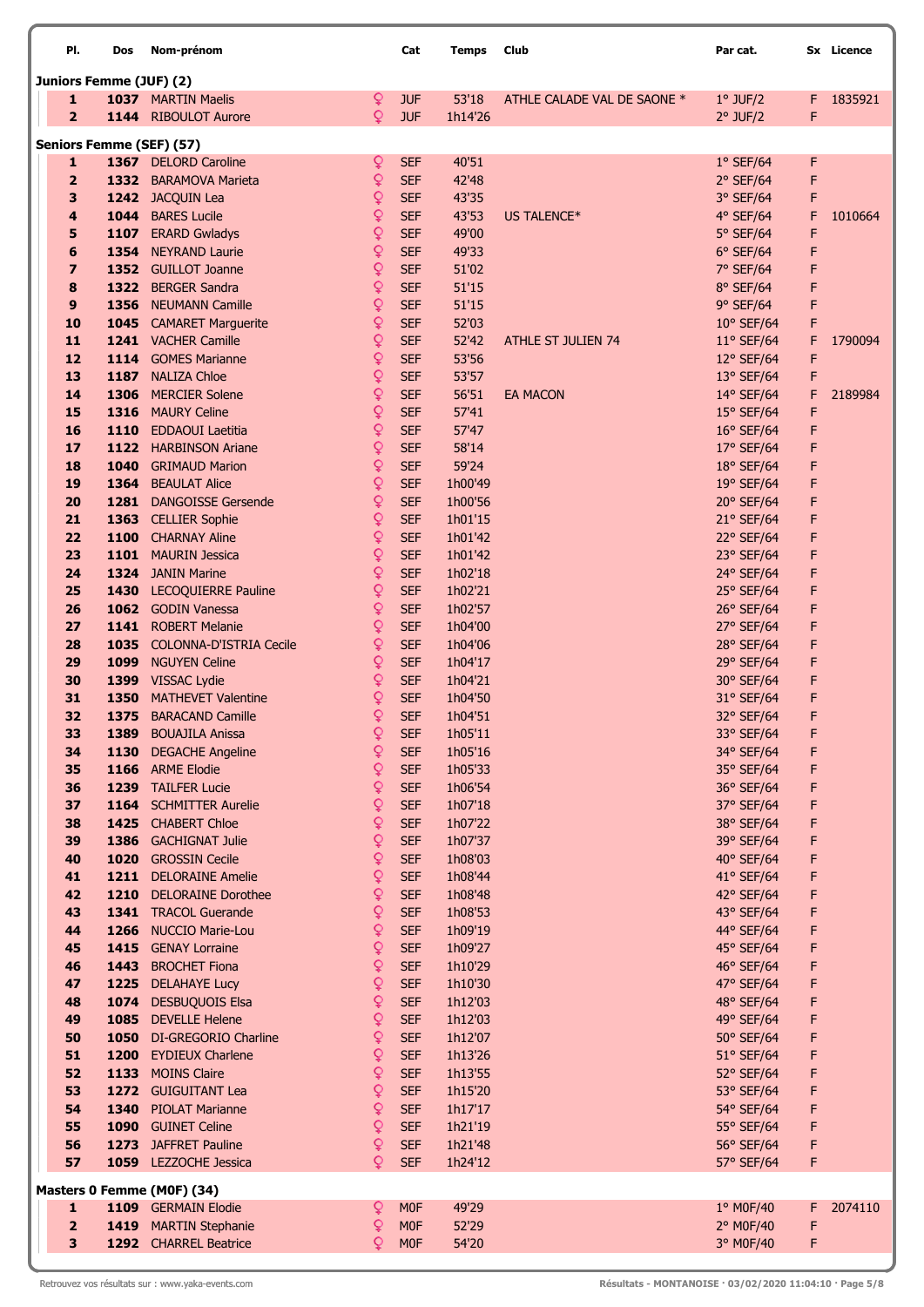| PI.                     | Dos                     | Nom-prénom                                  |        | Cat                      | <b>Temps</b>       | Club                        | Par cat.                 |        | Sx Licence |
|-------------------------|-------------------------|---------------------------------------------|--------|--------------------------|--------------------|-----------------------------|--------------------------|--------|------------|
|                         | Juniors Femme (JUF) (2) |                                             |        |                          |                    |                             |                          |        |            |
| 1                       |                         | 1037 MARTIN Maelis                          | Q      | <b>JUF</b>               | 53'18              | ATHLE CALADE VAL DE SAONE * | $1°$ JUF/2               | F.     | 1835921    |
| $\overline{2}$          |                         | 1144 RIBOULOT Aurore                        | ò      | <b>JUF</b>               | 1h14'26            |                             | $2°$ JUF/2               | F      |            |
|                         |                         | <b>Seniors Femme (SEF) (57)</b>             |        |                          |                    |                             |                          |        |            |
| 1                       |                         | 1367 DELORD Caroline                        | Q      | <b>SEF</b>               | 40'51              |                             | $1°$ SEF/64              | F      |            |
| $\overline{2}$          |                         | 1332 BARAMOVA Marieta                       | ç      | <b>SEF</b>               | 42'48              |                             | $2°$ SEF/64              | F      |            |
| 3                       |                         | 1242 JACQUIN Lea                            | ç      | <b>SEF</b>               | 43'35              |                             | 3° SEF/64                | F      |            |
| 4<br>5                  | 1044<br>1107            | <b>BARES Lucile</b>                         | ò<br>Q | <b>SEF</b><br><b>SEF</b> | 43'53<br>49'00     | US TALENCE*                 | 4° SEF/64                | F<br>F | 1010664    |
| 6                       |                         | <b>ERARD Gwladys</b><br>1354 NEYRAND Laurie | Q      | <b>SEF</b>               | 49'33              |                             | 5° SEF/64<br>$6°$ SEF/64 | F      |            |
| $\overline{\mathbf{z}}$ |                         | 1352 GUILLOT Joanne                         | Q      | <b>SEF</b>               | 51'02              |                             | 7° SEF/64                | F      |            |
| 8                       | 1322                    | <b>BERGER Sandra</b>                        | Q      | <b>SEF</b>               | 51'15              |                             | 8° SEF/64                | F      |            |
| 9                       |                         | 1356 NEUMANN Camille                        | Q      | <b>SEF</b>               | 51'15              |                             | 9° SEF/64                | F      |            |
| 10                      |                         | 1045 CAMARET Marguerite                     | Q      | <b>SEF</b>               | 52'03              |                             | $10^{\circ}$ SEF/64      | F      |            |
| 11                      |                         | 1241 VACHER Camille                         | Q      | <b>SEF</b>               | 52'42              | <b>ATHLE ST JULIEN 74</b>   | $11^{\circ}$ SEF/64      | F      | 1790094    |
| 12                      |                         | 1114 GOMES Marianne                         | Q      | <b>SEF</b>               | 53'56              |                             | 12° SEF/64               | F      |            |
| 13                      |                         | 1187 NALIZA Chloe                           | Q      | <b>SEF</b>               | 53'57              |                             | 13° SEF/64               | F      |            |
| 14                      | 1306                    | <b>MERCIER Solene</b>                       | Q      | <b>SEF</b>               | 56'51              | <b>EA MACON</b>             | 14° SEF/64               | F      | 2189984    |
| 15                      | 1316                    | <b>MAURY Celine</b>                         | Q      | <b>SEF</b>               | 57'41              |                             | 15° SEF/64               | F      |            |
| 16                      | 1110                    | <b>EDDAOUI Laetitia</b>                     | Q      | <b>SEF</b>               | 57'47              |                             | 16° SEF/64               | F      |            |
| 17                      | 1122                    | <b>HARBINSON Ariane</b>                     | Q      | <b>SEF</b>               | 58'14              |                             | 17° SEF/64               | F      |            |
| 18                      | 1040                    | <b>GRIMAUD Marion</b>                       | Q      | <b>SEF</b>               | 59'24              |                             | 18° SEF/64               | F      |            |
| 19                      | 1364                    | <b>BEAULAT Alice</b>                        | Q      | <b>SEF</b>               | 1h00'49            |                             | 19° SEF/64               | F      |            |
| 20                      | 1281                    | <b>DANGOISSE Gersende</b>                   | Q      | <b>SEF</b>               | 1h00'56            |                             | 20° SEF/64               | F      |            |
| 21<br>22                | 1100                    | 1363 CELLIER Sophie<br><b>CHARNAY Aline</b> | ç<br>Q | <b>SEF</b><br><b>SEF</b> | 1h01'15<br>1h01'42 |                             | 21° SEF/64               | F<br>F |            |
| 23                      |                         | 1101 MAURIN Jessica                         | Q      | <b>SEF</b>               | 1h01'42            |                             | 22° SEF/64<br>23° SEF/64 | F      |            |
| 24                      |                         | 1324 JANIN Marine                           | ç      | <b>SEF</b>               | 1h02'18            |                             | 24° SEF/64               | F      |            |
| 25                      |                         | 1430 LECOQUIERRE Pauline                    | Q      | <b>SEF</b>               | 1h02'21            |                             | 25° SEF/64               | F      |            |
| 26                      |                         | 1062 GODIN Vanessa                          | Q      | <b>SEF</b>               | 1h02'57            |                             | 26° SEF/64               | F      |            |
| 27                      |                         | 1141 ROBERT Melanie                         | Q      | <b>SEF</b>               | 1h04'00            |                             | 27° SEF/64               | F      |            |
| 28                      |                         | 1035 COLONNA-D'ISTRIA Cecile                | Q      | <b>SEF</b>               | 1h04'06            |                             | 28° SEF/64               | F      |            |
| 29                      | 1099                    | <b>NGUYEN Celine</b>                        | Q      | <b>SEF</b>               | 1h04'17            |                             | 29° SEF/64               | F      |            |
| 30                      |                         | 1399 VISSAC Lydie                           | ò      | <b>SEF</b>               | 1h04'21            |                             | 30° SEF/64               | F      |            |
| 31                      | 1350                    | <b>MATHEVET Valentine</b>                   | Q      | <b>SEF</b>               | 1h04'50            |                             | 31° SEF/64               | F      |            |
| 32                      | 1375                    | <b>BARACAND Camille</b>                     | Q      | <b>SEF</b>               | 1h04'51            |                             | 32° SEF/64               | F      |            |
| 33                      | 1389                    | <b>BOUAJILA Anissa</b>                      |        | <b>SEF</b>               | 1h05'11            |                             | 33° SEF/64               | F      |            |
| 34                      | 1130                    | <b>DEGACHE Angeline</b>                     | ç<br>Q | <b>SEF</b>               | 1h05'16            |                             | 34° SEF/64               | F      |            |
| 35<br>36                |                         | 1166 ARME Elodie<br>1239 TAILFER Lucie      | Q      | <b>SEF</b><br><b>SEF</b> | 1h05'33<br>1h06'54 |                             | 35° SEF/64<br>36° SEF/64 | F<br>F |            |
| 37                      |                         | 1164 SCHMITTER Aurelie                      | Q      | <b>SEF</b>               | 1h07'18            |                             | 37° SEF/64               | F      |            |
| 38                      |                         | 1425 CHABERT Chloe                          | Q      | <b>SEF</b>               | 1h07'22            |                             | 38° SEF/64               | F      |            |
| 39                      |                         | 1386 GACHIGNAT Julie                        | Q      | <b>SEF</b>               | 1h07'37            |                             | 39° SEF/64               | F      |            |
| 40                      |                         | 1020 GROSSIN Cecile                         | ò      | <b>SEF</b>               | 1h08'03            |                             | 40° SEF/64               | F      |            |
| 41                      | 1211                    | <b>DELORAINE Amelie</b>                     | Q      | <b>SEF</b>               | 1h08'44            |                             | 41° SEF/64               | F      |            |
| 42                      | 1210                    | <b>DELORAINE Dorothee</b>                   | Q      | <b>SEF</b>               | 1h08'48            |                             | 42° SEF/64               | F      |            |
| 43                      |                         | 1341 TRACOL Guerande                        | Q      | <b>SEF</b>               | 1h08'53            |                             | 43° SEF/64               | F      |            |
| 44                      |                         | 1266 NUCCIO Marie-Lou                       | Q      | <b>SEF</b>               | 1h09'19            |                             | 44° SEF/64               | F      |            |
| 45                      |                         | 1415 GENAY Lorraine                         | Q      | <b>SEF</b>               | 1h09'27            |                             | 45° SEF/64               | F      |            |
| 46<br>47                | 1443                    | <b>BROCHET Fiona</b><br>1225 DELAHAYE Lucy  | Q<br>ç | <b>SEF</b><br><b>SEF</b> | 1h10'29<br>1h10'30 |                             | 46° SEF/64<br>47° SEF/64 | F<br>F |            |
| 48                      |                         | 1074 DESBUQUOIS Elsa                        | Q      | <b>SEF</b>               | 1h12'03            |                             | 48° SEF/64               | F      |            |
| 49                      |                         | 1085 DEVELLE Helene                         | Q      | <b>SEF</b>               | 1h12'03            |                             | 49° SEF/64               | F      |            |
| 50                      |                         | 1050 DI-GREGORIO Charline                   | Q      | <b>SEF</b>               | 1h12'07            |                             | 50° SEF/64               | F      |            |
| 51                      |                         | 1200 EYDIEUX Charlene                       | ò      | <b>SEF</b>               | 1h13'26            |                             | 51° SEF/64               | F      |            |
| 52                      |                         | 1133 MOINS Claire                           | ç      | <b>SEF</b>               | 1h13'55            |                             | 52° SEF/64               | F      |            |
| 53                      |                         | 1272 GUIGUITANT Lea                         | Q      | <b>SEF</b>               | 1h15'20            |                             | 53° SEF/64               | F      |            |
| 54                      | 1340                    | <b>PIOLAT Marianne</b>                      | Q      | <b>SEF</b>               | 1h17'17            |                             | 54° SEF/64               | F      |            |
| 55                      | 1090                    | <b>GUINET Celine</b>                        | Q      | <b>SEF</b>               | 1h21'19            |                             | 55° SEF/64               | F      |            |
| 56                      |                         | 1273 JAFFRET Pauline                        | Q      | <b>SEF</b>               | 1h21'48            |                             | 56° SEF/64               | F      |            |
| 57                      |                         | 1059 LEZZOCHE Jessica                       | Q      | <b>SEF</b>               | 1h24'12            |                             | 57° SEF/64               | F      |            |
|                         |                         | Masters 0 Femme (M0F) (34)                  |        |                          |                    |                             |                          |        |            |
| 1                       |                         | 1109 GERMAIN Elodie                         | ¥      | M <sub>0F</sub>          | 49'29              |                             | 1° M0F/40                | F.     | 2074110    |
| $\overline{\mathbf{2}}$ |                         | 1419 MARTIN Stephanie                       | Q      | M <sub>0F</sub>          | 52'29              |                             | 2° M0F/40                | F      |            |
| 3                       |                         | 1292 CHARREL Beatrice                       | Q      | M <sub>0F</sub>          | 54'20              |                             | 3° M0F/40                | F      |            |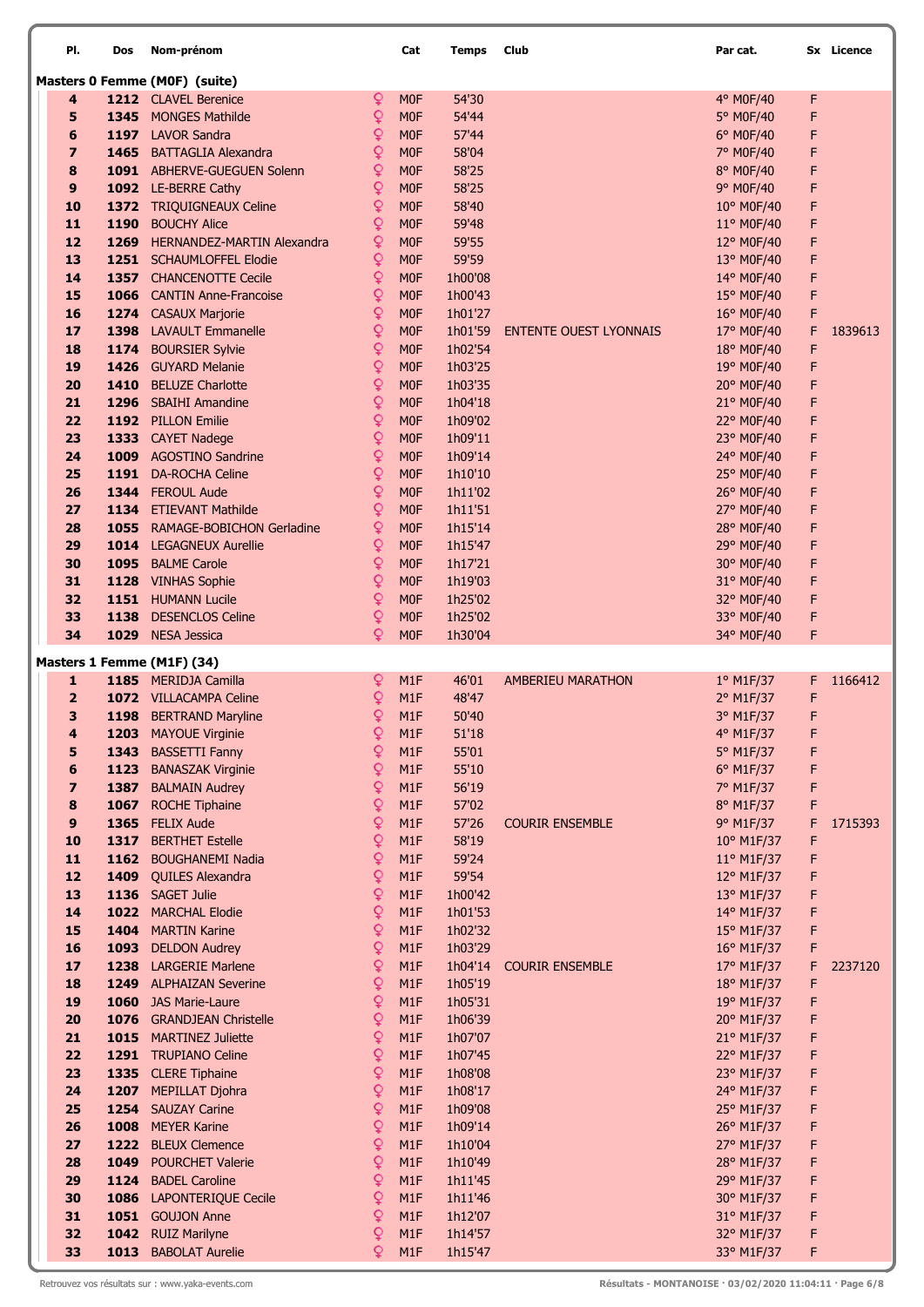| PI.                     | Dos  | Nom-prénom                                |              | Cat              | Temps              | Club                          | Par cat.                 |        | Sx Licence |
|-------------------------|------|-------------------------------------------|--------------|------------------|--------------------|-------------------------------|--------------------------|--------|------------|
|                         |      | Masters 0 Femme (M0F) (suite)             |              |                  |                    |                               |                          |        |            |
| 4                       |      | 1212 CLAVEL Berenice                      | Q            | <b>MOF</b>       | 54'30              |                               | 4° M0F/40                | F      |            |
| 5                       |      | 1345 MONGES Mathilde                      | ç            | M <sub>OF</sub>  | 54'44              |                               | 5° M0F/40                | F      |            |
| 6                       |      | 1197 LAVOR Sandra                         | ç            | <b>MOF</b>       | 57'44              |                               | 6° M0F/40                | F      |            |
| $\overline{\mathbf{z}}$ |      | 1465 BATTAGLIA Alexandra                  | ò            | M <sub>OF</sub>  | 58'04              |                               | 7° M0F/40                | F      |            |
| 8                       |      | 1091 ABHERVE-GUEGUEN Solenn               | ò            | <b>MOF</b>       | 58'25              |                               | 8° M0F/40                | F      |            |
| 9                       |      | 1092 LE-BERRE Cathy                       | Q            | <b>MOF</b>       | 58'25              |                               | 9° M0F/40                | F      |            |
| 10                      |      | 1372 TRIQUIGNEAUX Celine                  | Q            | <b>MOF</b>       | 58'40              |                               | 10° M0F/40               | F      |            |
| 11                      |      | 1190 BOUCHY Alice                         | Q            | <b>MOF</b>       | 59'48              |                               | 11° M0F/40               | F      |            |
| 12                      |      | 1269 HERNANDEZ-MARTIN Alexandra           | Q            | <b>MOF</b>       | 59'55              |                               | 12° M0F/40               | F      |            |
| 13                      |      | 1251 SCHAUMLOFFEL Elodie                  | Q            | M <sub>OF</sub>  | 59'59              |                               | 13° M0F/40               | F      |            |
| 14                      |      | 1357 CHANCENOTTE Cecile                   | Q            | <b>MOF</b>       | 1h00'08            |                               | 14° M0F/40               | F      |            |
| 15                      |      | 1066 CANTIN Anne-Francoise                | ò            | <b>MOF</b>       | 1h00'43            |                               | 15° M0F/40               | F      |            |
| 16                      |      | 1274 CASAUX Marjorie                      | ò            | <b>MOF</b>       | 1h01'27            |                               | 16° M0F/40               | F      |            |
| 17                      |      | 1398 LAVAULT Emmanelle                    | Q            | <b>MOF</b>       | 1h01'59            | <b>ENTENTE OUEST LYONNAIS</b> | 17° M0F/40               | F      | 1839613    |
| 18                      |      | 1174 BOURSIER Sylvie                      | ç            | <b>MOF</b>       | 1h02'54            |                               | 18° M0F/40               | F      |            |
| 19                      |      | 1426 GUYARD Melanie                       | ç            | M <sub>OF</sub>  | 1h03'25            |                               | 19° M0F/40               | F      |            |
| 20                      | 1410 | <b>BELUZE Charlotte</b>                   | Q            | <b>MOF</b>       | 1h03'35            |                               | 20° M0F/40               | F      |            |
| 21                      |      | 1296 SBAIHI Amandine                      | Q            | <b>MOF</b>       | 1h04'18            |                               | 21° M0F/40               | F      |            |
| 22                      |      | 1192 PILLON Emilie                        | Q            | <b>MOF</b>       | 1h09'02            |                               | 22° M0F/40               | F      |            |
| 23                      |      | 1333 CAYET Nadege                         | ò            | <b>MOF</b>       | 1h09'11            |                               | 23° M0F/40               | F      |            |
| 24                      |      | 1009 AGOSTINO Sandrine                    | Q            | <b>MOF</b>       | 1h09'14            |                               | 24° M0F/40               | F      |            |
| 25                      |      | 1191 DA-ROCHA Celine                      | Q            | <b>MOF</b>       | 1h10'10            |                               | 25° M0F/40               | F      |            |
| 26                      |      | 1344 FEROUL Aude                          | Q            | M <sub>0F</sub>  | 1h11'02            |                               | 26° M0F/40               | F      |            |
| 27                      |      | 1134 ETIEVANT Mathilde                    | ç            | M <sub>0F</sub>  | 1h11'51            |                               | 27° M0F/40               | F      |            |
| 28                      |      | 1055 RAMAGE-BOBICHON Gerladine            | ç            | M <sub>0F</sub>  | 1h15'14            |                               | 28° M0F/40               | F      |            |
| 29                      |      | 1014 LEGAGNEUX Aurellie                   | Q            | <b>MOF</b>       | 1h15'47            |                               | 29° M0F/40               | F      |            |
| 30                      |      | 1095 BALME Carole                         | Q            | <b>MOF</b>       | 1h17'21            |                               | 30° M0F/40               | F      |            |
| 31                      |      | 1128 VINHAS Sophie                        | Q            | <b>MOF</b>       | 1h19'03            |                               | 31° M0F/40               | F      |            |
| 32                      |      | 1151 HUMANN Lucile                        | ò            | <b>MOF</b>       | 1h25'02            |                               | 32° M0F/40               | F      |            |
| 33                      |      | 1138 DESENCLOS Celine                     | ò            | <b>MOF</b>       | 1h25'02            |                               | 33° M0F/40               | F      |            |
| 34                      |      | 1029 NESA Jessica                         | Q            | <b>MOF</b>       | 1h30'04            |                               | 34° M0F/40               | F      |            |
|                         |      | Masters 1 Femme (M1F) (34)                |              |                  |                    |                               |                          |        |            |
| 1                       |      | 1185 MERIDJA Camilla                      | Q            | M1F              | 46'01              | <b>AMBERIEU MARATHON</b>      | 1° M1F/37                | F.     | 1166412    |
| $\overline{2}$          |      | 1072 VILLACAMPA Celine                    | ò            | M1F              | 48'47              |                               | 2° M1F/37                | F      |            |
| 3                       |      | 1198 BERTRAND Maryline                    | Q            | M <sub>1</sub> F | 50'40              |                               | 3° M1F/37                | F      |            |
| 4                       |      | 1203 MAYOUE Virginie                      | $\mathsf{Q}$ | M1F              | 51'18              |                               | 4° M1F/37                | F      |            |
| 5                       |      | 1343 BASSETTI Fanny                       | ç            | M1F              | 55'01              |                               | 5° M1F/37                | F      |            |
| 6                       |      | 1123 BANASZAK Virginie                    | ç            | M1F              | 55'10              |                               | 6° M1F/37                | F      |            |
| $\overline{\mathbf{z}}$ |      | 1387 BALMAIN Audrey                       | ç            | M <sub>1</sub> F | 56'19              |                               | 7° M1F/37                | F      |            |
| 8                       |      | 1067 ROCHE Tiphaine                       | ç            | M1F              | 57'02              |                               | 8° M1F/37                | F      |            |
| 9                       |      | 1365 FELIX Aude                           | Q            | M1F              | 57'26              | <b>COURIR ENSEMBLE</b>        | 9° M1F/37                | F      | 1715393    |
| 10                      |      | 1317 BERTHET Estelle                      | ò            | M1F              | 58'19              |                               | 10° M1F/37               | F      |            |
| 11                      |      | 1162 BOUGHANEMI Nadia                     | Q            | M1F              | 59'24              |                               | 11° M1F/37               | F      |            |
| 12                      |      | 1409 QUILES Alexandra<br>1136 SAGET Julie | ç<br>ç       | M1F              | 59'54              |                               | 12° M1F/37               | F      |            |
| 13<br>14                |      | 1022 MARCHAL Elodie                       | Q            | M1F<br>M1F       | 1h00'42<br>1h01'53 |                               | 13° M1F/37<br>14° M1F/37 | F<br>F |            |
| 15                      |      | 1404 MARTIN Karine                        | ò            | M1F              | 1h02'32            |                               | 15° M1F/37               | F      |            |
| 16                      |      | 1093 DELDON Audrey                        | ò            | M1F              | 1h03'29            |                               | 16° M1F/37               | F      |            |
| 17                      |      | 1238 LARGERIE Marlene                     | Q            | M1F              | 1h04'14            | <b>COURIR ENSEMBLE</b>        | 17° M1F/37               | F      | 2237120    |
| 18                      |      | 1249 ALPHAIZAN Severine                   | ¥            | M1F              | 1h05'19            |                               | 18° M1F/37               | F      |            |
| 19                      |      | 1060 JAS Marie-Laure                      | ò            | M1F              | 1h05'31            |                               | 19° M1F/37               | F      |            |
| 20                      |      | 1076 GRANDJEAN Christelle                 | ò            | M1F              | 1h06'39            |                               | 20° M1F/37               | F      |            |
| 21                      |      | 1015 MARTINEZ Juliette                    | ò            | M1F              | 1h07'07            |                               | 21° M1F/37               | F      |            |
| 22                      |      | 1291 TRUPIANO Celine                      | Q            | M1F              | 1h07'45            |                               | 22° M1F/37               | F      |            |
| 23                      |      | 1335 CLERE Tiphaine                       | Q            | M1F              | 1h08'08            |                               | 23° M1F/37               | F      |            |
| 24                      |      | 1207 MEPILLAT Djohra                      | Q            | M1F              | 1h08'17            |                               | 24° M1F/37               | F      |            |
| 25                      |      | 1254 SAUZAY Carine                        | Q            | M1F              | 1h09'08            |                               | 25° M1F/37               | F      |            |
| 26                      | 1008 | <b>MEYER Karine</b>                       | Q            | M1F              | 1h09'14            |                               | 26° M1F/37               | F      |            |
| 27                      |      | 1222 BLEUX Clemence                       | Q            | M1F              | 1h10'04            |                               | 27° M1F/37               | F      |            |
| 28                      | 1049 | <b>POURCHET Valerie</b>                   | ò            | M1F              | 1h10'49            |                               | 28° M1F/37               | F      |            |
| 29                      |      | 1124 BADEL Caroline                       | ò            | M1F              | 1h11'45            |                               | 29° M1F/37               | F      |            |
| 30                      |      | 1086 LAPONTERIQUE Cecile                  | Q            | M1F              | 1h11'46            |                               | 30° M1F/37               | F      |            |
| 31                      |      | 1051 GOUJON Anne                          | ò            | M1F              | 1h12'07            |                               | 31° M1F/37               | F      |            |
| 32                      |      | 1042 RUIZ Marilyne                        | Q            | M1F              | 1h14'57            |                               | 32° M1F/37               | F      |            |
| 33                      |      | 1013 BABOLAT Aurelie                      | ò            | M1F              | 1h15'47            |                               | 33° M1F/37               | F      |            |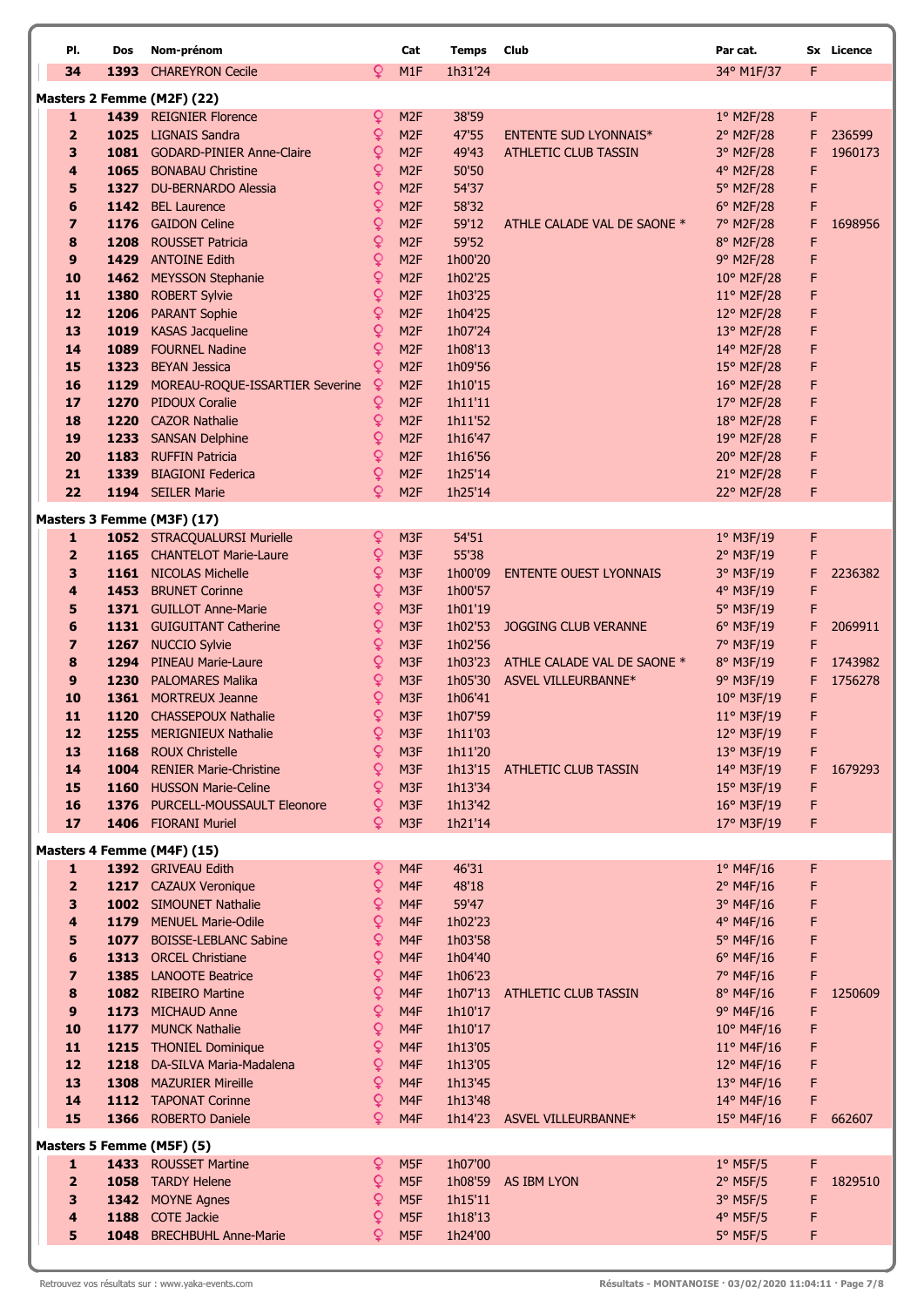| PI.                            | Dos  | Nom-prénom                                              |                | Cat                                | <b>Temps</b>       | <b>Club</b>                   | Par cat.                 |        | Sx Licence |
|--------------------------------|------|---------------------------------------------------------|----------------|------------------------------------|--------------------|-------------------------------|--------------------------|--------|------------|
| 34                             | 1393 | <b>CHAREYRON Cecile</b>                                 | Q.             | M <sub>1</sub> F                   | 1h31'24            |                               | 34° M1F/37               | F      |            |
|                                |      | Masters 2 Femme (M2F) (22)                              |                |                                    |                    |                               |                          |        |            |
| 1                              |      | 1439 REIGNIER Florence                                  | Q              | M <sub>2F</sub>                    | 38'59              |                               | $1°$ M2F/28              | F.     |            |
| $\overline{2}$                 |      | 1025 LIGNAIS Sandra                                     | ò              | M <sub>2F</sub>                    | 47'55              | <b>ENTENTE SUD LYONNAIS*</b>  | 2° M2F/28                | F.     | 236599     |
| 3                              |      | 1081 GODARD-PINIER Anne-Claire                          | ç              | M <sub>2F</sub>                    | 49'43              | <b>ATHLETIC CLUB TASSIN</b>   | 3° M2F/28                | F      | 1960173    |
| 4                              |      | 1065 BONABAU Christine                                  | ç              | M <sub>2F</sub>                    | 50'50              |                               | 4° M2F/28                | F      |            |
| 5                              |      | 1327 DU-BERNARDO Alessia                                | ç              | M <sub>2F</sub>                    | 54'37              |                               | 5° M2F/28                | F      |            |
| 6                              | 1142 | <b>BEL Laurence</b>                                     | Q              | M <sub>2F</sub>                    | 58'32              |                               | 6° M2F/28                | F      |            |
| $\overline{z}$                 |      | 1176 GAIDON Celine                                      | Q              | M <sub>2F</sub>                    | 59'12              | ATHLE CALADE VAL DE SAONE *   | 7° M2F/28                | F      | 1698956    |
| 8                              | 1208 | <b>ROUSSET Patricia</b>                                 | Q              | M <sub>2F</sub>                    | 59'52              |                               | 8° M2F/28                | F      |            |
| 9                              |      | 1429 ANTOINE Edith                                      | Q              | M <sub>2F</sub>                    | 1h00'20            |                               | 9° M2F/28                | F      |            |
| 10                             |      | 1462 MEYSSON Stephanie                                  | ç              | M <sub>2F</sub>                    | 1h02'25            |                               | 10° M2F/28               | F      |            |
| 11                             | 1380 | <b>ROBERT Sylvie</b>                                    | ç              | M <sub>2F</sub>                    | 1h03'25            |                               | $11^{\circ}$ M2F/28      | F      |            |
| 12                             | 1206 | <b>PARANT Sophie</b>                                    | ç              | M <sub>2F</sub>                    | 1h04'25            |                               | 12° M2F/28               | F      |            |
| 13<br>14                       | 1019 | <b>KASAS Jacqueline</b>                                 | ò              | M <sub>2F</sub>                    | 1h07'24            |                               | 13° M2F/28               | F      |            |
| 15                             | 1323 | 1089 FOURNEL Nadine<br><b>BEYAN Jessica</b>             | ç<br>Q         | M <sub>2F</sub><br>M <sub>2F</sub> | 1h08'13<br>1h09'56 |                               | 14° M2F/28               | F<br>F |            |
| 16                             | 1129 | MOREAU-ROQUE-ISSARTIER Severine                         | $\mathsf Q$    | M <sub>2F</sub>                    | 1h10'15            |                               | 15° M2F/28<br>16° M2F/28 | F      |            |
| 17                             | 1270 | <b>PIDOUX Coralie</b>                                   | ç              | M <sub>2F</sub>                    | 1h11'11            |                               | 17° M2F/28               | F      |            |
| 18                             | 1220 | <b>CAZOR Nathalie</b>                                   | Q              | M <sub>2F</sub>                    | 1h11'52            |                               | 18° M2F/28               | F      |            |
| 19                             | 1233 | <b>SANSAN Delphine</b>                                  | Q              | M <sub>2F</sub>                    | 1h16'47            |                               | 19° M2F/28               | F      |            |
| 20                             |      | 1183 RUFFIN Patricia                                    | $\mathsf Q$    | M <sub>2F</sub>                    | 1h16'56            |                               | 20° M2F/28               | F      |            |
| 21                             | 1339 | <b>BIAGIONI Federica</b>                                | Q              | M <sub>2F</sub>                    | 1h25'14            |                               | 21° M2F/28               | F      |            |
| 22                             |      | 1194 SEILER Marie                                       | Q              | M <sub>2F</sub>                    | 1h25'14            |                               | 22° M2F/28               | F      |            |
|                                |      | Masters 3 Femme (M3F) (17)                              |                |                                    |                    |                               |                          |        |            |
| 1                              |      | 1052 STRACQUALURSI Murielle                             | Q              | M <sub>3F</sub>                    | 54'51              |                               | 1° M3F/19                | F      |            |
| $\overline{2}$                 |      | 1165 CHANTELOT Marie-Laure                              | ç              | M <sub>3F</sub>                    | 55'38              |                               | 2° M3F/19                | F      |            |
| 3                              |      | 1161 NICOLAS Michelle                                   | ò              | M <sub>3F</sub>                    | 1h00'09            | <b>ENTENTE OUEST LYONNAIS</b> | 3° M3F/19                | F      | 2236382    |
| 4                              |      | 1453 BRUNET Corinne                                     | ò              | M <sub>3F</sub>                    | 1h00'57            |                               | 4° M3F/19                | F      |            |
| 5                              |      | 1371 GUILLOT Anne-Marie                                 | ç              | M <sub>3F</sub>                    | 1h01'19            |                               | 5° M3F/19                | F      |            |
| 6                              |      | 1131 GUIGUITANT Catherine                               | ç              | M <sub>3F</sub>                    | 1h02'53            | <b>JOGGING CLUB VERANNE</b>   | 6° M3F/19                | F      | 2069911    |
| $\overline{\mathbf{z}}$        |      | 1267 NUCCIO Sylvie                                      | ç              | M <sub>3F</sub>                    | 1h02'56            |                               | 7° M3F/19                | F      |            |
| 8                              | 1294 | <b>PINEAU Marie-Laure</b>                               | Q              | M <sub>3F</sub>                    | 1h03'23            | ATHLE CALADE VAL DE SAONE *   | 8° M3F/19                | F      | 1743982    |
| 9                              | 1230 | <b>PALOMARES Malika</b>                                 | Q              | M <sub>3F</sub>                    | 1h05'30            | ASVEL VILLEURBANNE*           | 9° M3F/19                | F      | 1756278    |
| 10                             |      | 1361 MORTREUX Jeanne                                    | Q              | M <sub>3F</sub>                    | 1h06'41            |                               | 10° M3F/19               | F      |            |
| 11                             |      | 1120 CHASSEPOUX Nathalie                                | Q              | M <sub>3F</sub>                    | 1h07'59            |                               | 11° M3F/19               | F      |            |
| 12                             | 1255 | <b>MERIGNIEUX Nathalie</b>                              |                | M <sub>3</sub> F                   | 1h11'03            |                               | $12^{\circ}$ M3F/19      | F      |            |
| 13                             | 1168 | <b>ROUX Christelle</b>                                  | ç              | M3F                                | 1h11'20            |                               | 13° M3F/19               | F      |            |
| 14<br>15                       |      | 1004 RENIER Marie-Christine<br>1160 HUSSON Marie-Celine | Q<br>Q         | M3F<br>M <sub>3F</sub>             |                    | 1h13'15 ATHLETIC CLUB TASSIN  | 14° M3F/19               | F.     | 1679293    |
| 16                             |      | 1376 PURCELL-MOUSSAULT Eleonore                         | Q.             | M <sub>3F</sub>                    | 1h13'34<br>1h13'42 |                               | 15° M3F/19<br>16° M3F/19 | F<br>F |            |
| 17                             |      | 1406 FIORANI Muriel                                     | Q.             | M <sub>3F</sub>                    | 1h21'14            |                               | 17° M3F/19               | F      |            |
|                                |      |                                                         |                |                                    |                    |                               |                          |        |            |
|                                |      | Masters 4 Femme (M4F) (15)<br>1392 GRIVEAU Edith        |                |                                    |                    |                               |                          |        |            |
| $\mathbf{1}$<br>$\overline{2}$ |      | 1217 CAZAUX Veronique                                   | Q<br>ç         | M4F<br>M4F                         | 46'31<br>48'18     |                               | $1°$ M4F/16<br>2° M4F/16 | F<br>F |            |
| 3                              |      | 1002 SIMOUNET Nathalie                                  | Q              | M <sub>4F</sub>                    | 59'47              |                               | 3° M4F/16                | F      |            |
| 4                              |      | 1179 MENUEL Marie-Odile                                 | Q              | M <sub>4F</sub>                    | 1h02'23            |                               | 4° M4F/16                | F      |            |
| 5                              |      | 1077 BOISSE-LEBLANC Sabine                              | Q              | M <sub>4F</sub>                    | 1h03'58            |                               | 5° M4F/16                | F      |            |
| 6                              |      | 1313 ORCEL Christiane                                   | ò              | M4F                                | 1h04'40            |                               | $6°$ M4F/16              | F      |            |
| $\overline{\mathbf{z}}$        |      | 1385 LANOOTE Beatrice                                   | ç              | M <sub>4F</sub>                    | 1h06'23            |                               | 7° M4F/16                | F      |            |
| 8                              |      | 1082 RIBEIRO Martine                                    | ç              | M4F                                | 1h07'13            | ATHLETIC CLUB TASSIN          | 8° M4F/16                | F      | 1250609    |
| 9                              |      | 1173 MICHAUD Anne                                       | $\mathsf Q$    | M4F                                | 1h10'17            |                               | $9°$ M4F/16              | F      |            |
| 10                             |      | 1177 MUNCK Nathalie                                     | ¥              | M <sub>4F</sub>                    | 1h10'17            |                               | $10^{\circ}$ M4F/16      | F      |            |
| 11                             |      | 1215 THONIEL Dominique                                  | ¥              | M <sub>4F</sub>                    | 1h13'05            |                               | $11^{\circ}$ M4F/16      | F      |            |
| 12                             |      | 1218 DA-SILVA Maria-Madalena                            | $\mathsf Q$    | M <sub>4F</sub>                    | 1h13'05            |                               | $12^{\circ}$ M4F/16      | F      |            |
| 13                             |      | 1308 MAZURIER Mireille                                  | $\overline{Q}$ | M <sub>4F</sub>                    | 1h13'45            |                               | 13° M4F/16               | F      |            |
| 14                             |      | 1112 TAPONAT Corinne                                    | ò              | M <sub>4F</sub>                    | 1h13'48            |                               | 14° M4F/16               | F      |            |
| 15                             |      | 1366 ROBERTO Daniele                                    | Q.             | M <sub>4F</sub>                    |                    | 1h14'23 ASVEL VILLEURBANNE*   | 15° M4F/16               | F.     | 662607     |
|                                |      | Masters 5 Femme (M5F) (5)                               |                |                                    |                    |                               |                          |        |            |
| 1                              |      | 1433 ROUSSET Martine                                    | Q              | M <sub>5F</sub>                    | 1h07'00            |                               | $1°$ M5F/5               | F      |            |
| $\overline{2}$                 |      | 1058 TARDY Helene                                       | ò              | M5F                                |                    | 1h08'59 AS IBM LYON           | $2^{\circ}$ M5F/5        | F.     | 1829510    |
| 3                              |      | 1342 MOYNE Agnes                                        | Q              | M <sub>5F</sub>                    | 1h15'11            |                               | $3°$ M5F/5               | F      |            |
| 4                              |      | 1188 COTE Jackie                                        | ç              | M <sub>5F</sub>                    | 1h18'13            |                               | $4^{\circ}$ M5F/5        | F      |            |
| 5                              |      | 1048 BRECHBUHL Anne-Marie                               | Q              | M <sub>5F</sub>                    | 1h24'00            |                               | $5^\circ$ M5F/5          | F      |            |